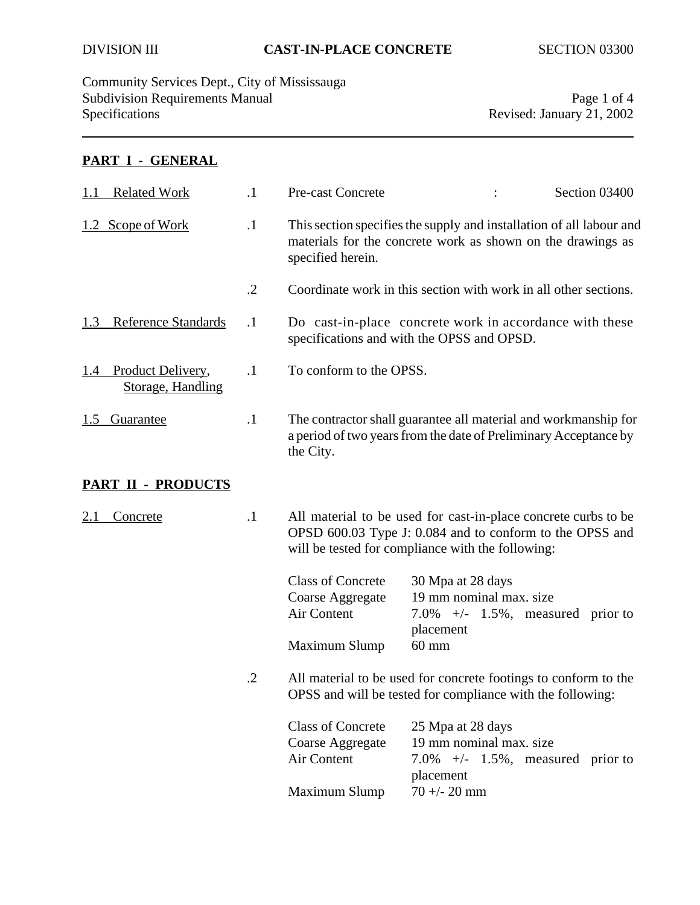Community Services Dept., City of Mississauga Subdivision Requirements Manual Page 1 of 4<br>Specifications Page 1 of 4<br>Revised: January 21, 2002

Revised: January 21, 2002

## **PART I - GENERAL**

| <b>Related Work</b><br>1.1                 | $\cdot$ 1  | Pre-cast Concrete                                                                                                                                                               |                                                                                                                                     | Section 03400 |
|--------------------------------------------|------------|---------------------------------------------------------------------------------------------------------------------------------------------------------------------------------|-------------------------------------------------------------------------------------------------------------------------------------|---------------|
| 1.2 Scope of Work                          | $\cdot$    | specified herein.                                                                                                                                                               | This section specifies the supply and installation of all labour and<br>materials for the concrete work as shown on the drawings as |               |
|                                            | $\cdot$ .2 |                                                                                                                                                                                 | Coordinate work in this section with work in all other sections.                                                                    |               |
| <b>Reference Standards</b><br>1.3          | $\cdot$    |                                                                                                                                                                                 | Do cast-in-place concrete work in accordance with these<br>specifications and with the OPSS and OPSD.                               |               |
| 1.4 Product Delivery,<br>Storage, Handling | $\cdot$    | To conform to the OPSS.                                                                                                                                                         |                                                                                                                                     |               |
| <u>Guarantee</u><br>1.5                    | $\cdot$ 1  | the City.                                                                                                                                                                       | The contractor shall guarantee all material and workmanship for<br>a period of two years from the date of Preliminary Acceptance by |               |
| <b>PART II - PRODUCTS</b>                  |            |                                                                                                                                                                                 |                                                                                                                                     |               |
| 2.1<br>Concrete                            | $\cdot$ 1  | All material to be used for cast-in-place concrete curbs to be<br>OPSD 600.03 Type J: 0.084 and to conform to the OPSS and<br>will be tested for compliance with the following: |                                                                                                                                     |               |
|                                            |            | <b>Class of Concrete</b><br>Coarse Aggregate<br>Air Content<br>Maximum Slump                                                                                                    | 30 Mpa at 28 days<br>19 mm nominal max. size<br>7.0% $+/-$ 1.5%, measured prior to<br>placement<br>$60 \text{ mm}$                  |               |
|                                            | $\cdot$ .2 | All material to be used for concrete footings to conform to the<br>OPSS and will be tested for compliance with the following:                                                   |                                                                                                                                     |               |
|                                            |            | <b>Class of Concrete</b><br>Coarse Aggregate<br>Air Content                                                                                                                     | 25 Mpa at 28 days<br>19 mm nominal max. size<br>7.0% $+/-$ 1.5%, measured prior to<br>placement                                     |               |
|                                            |            | Maximum Slump                                                                                                                                                                   | $70 + - 20$ mm                                                                                                                      |               |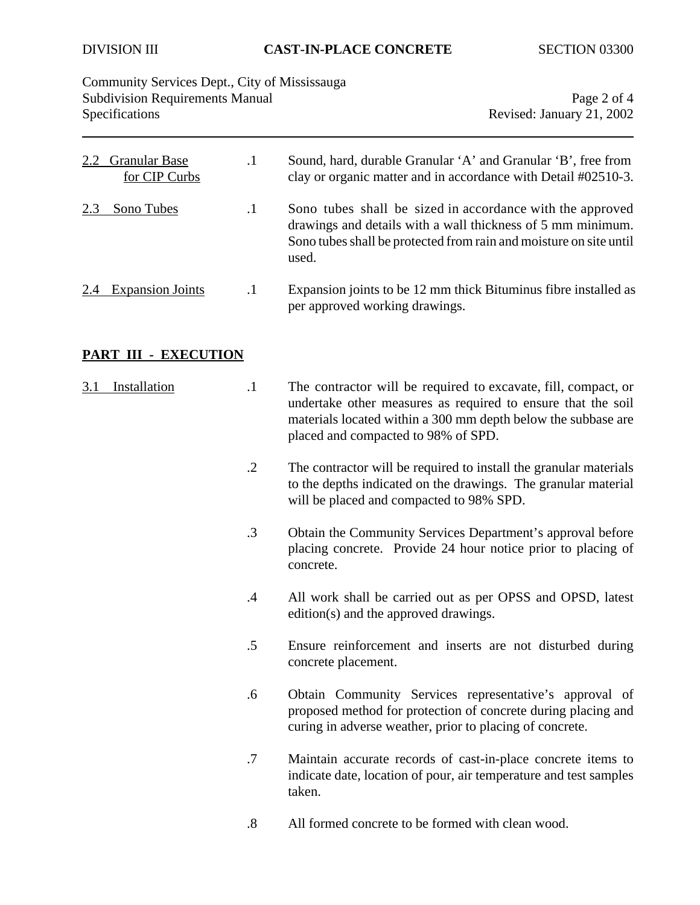| Community Services Dept., City of Mississauga<br><b>Subdivision Requirements Manual</b><br>Specifications |                   | Page 2 of 4<br>Revised: January 21, 2002                                                                                                                                                                                               |  |
|-----------------------------------------------------------------------------------------------------------|-------------------|----------------------------------------------------------------------------------------------------------------------------------------------------------------------------------------------------------------------------------------|--|
| <b>Granular Base</b><br>2.2<br>for CIP Curbs                                                              | $\cdot$ 1         | Sound, hard, durable Granular 'A' and Granular 'B', free from<br>clay or organic matter and in accordance with Detail #02510-3.                                                                                                        |  |
| Sono Tubes<br>2.3                                                                                         | $\cdot$ 1         | Sono tubes shall be sized in accordance with the approved<br>drawings and details with a wall thickness of 5 mm minimum.<br>Sono tubes shall be protected from rain and moisture on site until<br>used.                                |  |
| <b>Expansion Joints</b><br>2.4                                                                            | $\cdot$           | Expansion joints to be 12 mm thick Bituminus fibre installed as<br>per approved working drawings.                                                                                                                                      |  |
| <b>PART III - EXECUTION</b>                                                                               |                   |                                                                                                                                                                                                                                        |  |
| Installation<br>3.1                                                                                       | $\cdot$           | The contractor will be required to excavate, fill, compact, or<br>undertake other measures as required to ensure that the soil<br>materials located within a 300 mm depth below the subbase are<br>placed and compacted to 98% of SPD. |  |
|                                                                                                           | $\cdot$ .2        | The contractor will be required to install the granular materials<br>to the depths indicated on the drawings. The granular material<br>will be placed and compacted to 98% SPD.                                                        |  |
|                                                                                                           | $\cdot$ 3         | Obtain the Community Services Department's approval before<br>placing concrete. Provide 24 hour notice prior to placing of<br>concrete.                                                                                                |  |
|                                                                                                           | $\cdot$           | All work shall be carried out as per OPSS and OPSD, latest<br>edition(s) and the approved drawings.                                                                                                                                    |  |
|                                                                                                           | $.5\,$            | Ensure reinforcement and inserts are not disturbed during<br>concrete placement.                                                                                                                                                       |  |
|                                                                                                           | .6                | Obtain Community Services representative's approval of<br>proposed method for protection of concrete during placing and<br>curing in adverse weather, prior to placing of concrete.                                                    |  |
|                                                                                                           | .7                | Maintain accurate records of cast-in-place concrete items to<br>indicate date, location of pour, air temperature and test samples<br>taken.                                                                                            |  |
|                                                                                                           | $\boldsymbol{.8}$ | All formed concrete to be formed with clean wood.                                                                                                                                                                                      |  |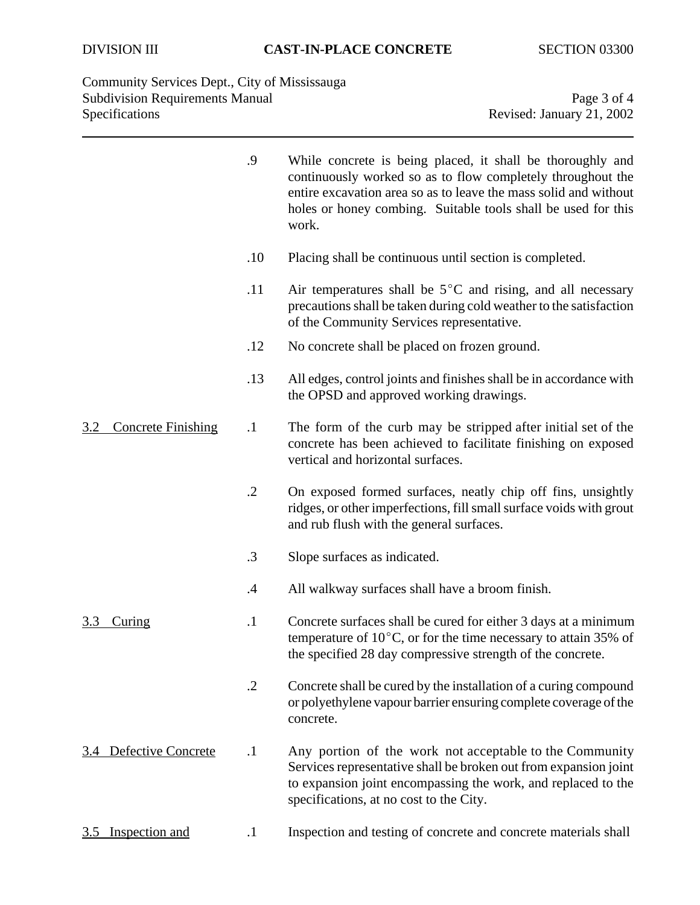Community Services Dept., City of Mississauga Subdivision Requirements Manual Page 3 of 4<br>Specifications Page 3 of 4<br>Revised: January 21, 2002

Revised: January 21, 2002

|                                  | .9         | While concrete is being placed, it shall be thoroughly and<br>continuously worked so as to flow completely throughout the<br>entire excavation area so as to leave the mass solid and without<br>holes or honey combing. Suitable tools shall be used for this<br>work. |
|----------------------------------|------------|-------------------------------------------------------------------------------------------------------------------------------------------------------------------------------------------------------------------------------------------------------------------------|
|                                  | .10        | Placing shall be continuous until section is completed.                                                                                                                                                                                                                 |
|                                  | .11        | Air temperatures shall be $5^{\circ}$ C and rising, and all necessary<br>precautions shall be taken during cold weather to the satisfaction<br>of the Community Services representative.                                                                                |
|                                  | .12        | No concrete shall be placed on frozen ground.                                                                                                                                                                                                                           |
|                                  | .13        | All edges, control joints and finishes shall be in accordance with<br>the OPSD and approved working drawings.                                                                                                                                                           |
| <b>Concrete Finishing</b><br>3.2 | $\cdot$    | The form of the curb may be stripped after initial set of the<br>concrete has been achieved to facilitate finishing on exposed<br>vertical and horizontal surfaces.                                                                                                     |
|                                  | $\cdot$ .2 | On exposed formed surfaces, neatly chip off fins, unsightly<br>ridges, or other imperfections, fill small surface voids with grout<br>and rub flush with the general surfaces.                                                                                          |
|                                  | .3         | Slope surfaces as indicated.                                                                                                                                                                                                                                            |
|                                  | $\cdot$    | All walkway surfaces shall have a broom finish.                                                                                                                                                                                                                         |
| <u>3.3</u><br><u>Curing</u>      | $\cdot$    | Concrete surfaces shall be cured for either 3 days at a minimum<br>temperature of $10^{\circ}$ C, or for the time necessary to attain 35% of<br>the specified 28 day compressive strength of the concrete.                                                              |
|                                  | $\cdot$ .2 | Concrete shall be cured by the installation of a curing compound<br>or polyethylene vapour barrier ensuring complete coverage of the<br>concrete.                                                                                                                       |
| Defective Concrete<br>3.4        | $\cdot$    | Any portion of the work not acceptable to the Community<br>Services representative shall be broken out from expansion joint<br>to expansion joint encompassing the work, and replaced to the<br>specifications, at no cost to the City.                                 |
| <b>Inspection and</b><br>3.5     | $\cdot$    | Inspection and testing of concrete and concrete materials shall                                                                                                                                                                                                         |